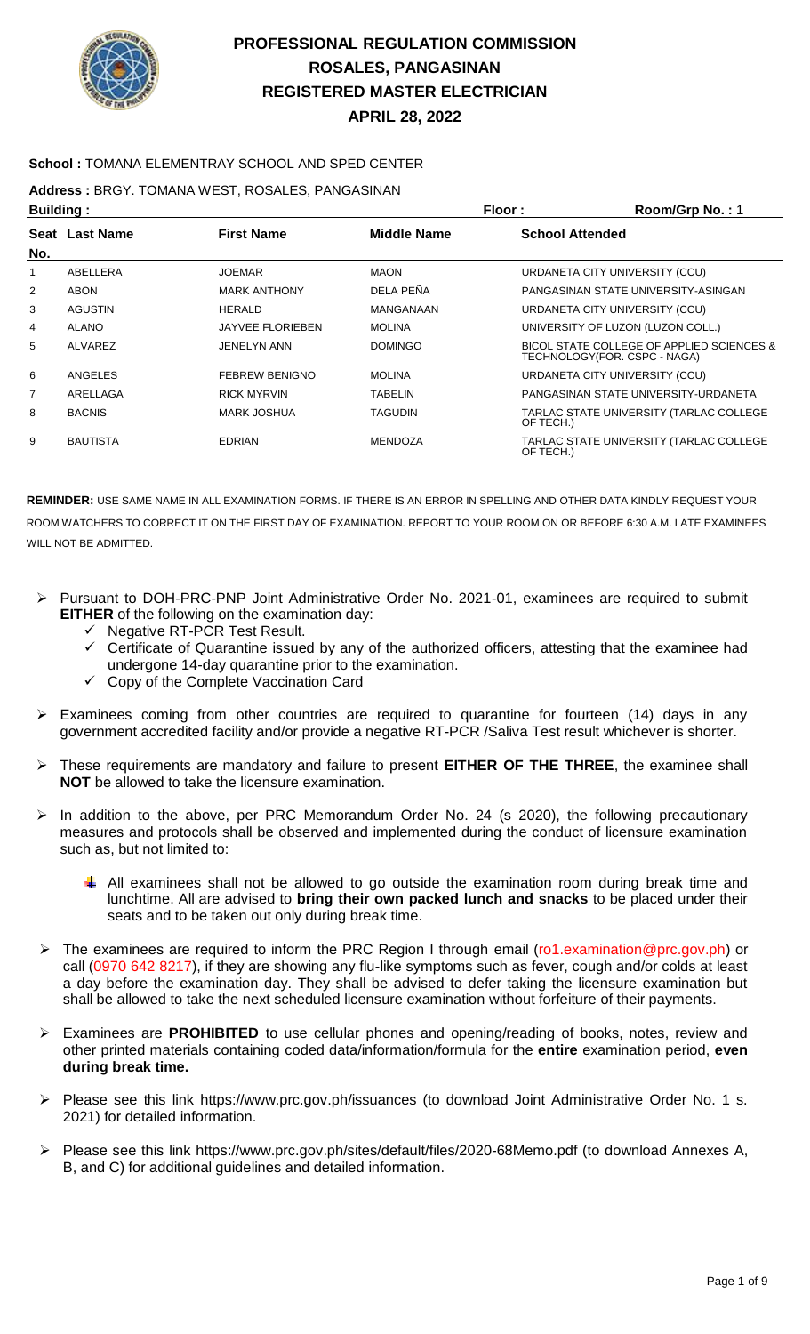

### **School :** TOMANA ELEMENTRAY SCHOOL AND SPED CENTER

**Address :** BRGY. TOMANA WEST, ROSALES, PANGASINAN

| <b>Building:</b> |                       |                         | Floor:             | Room/Grp No.: 1                                                           |
|------------------|-----------------------|-------------------------|--------------------|---------------------------------------------------------------------------|
| No.              | <b>Seat Last Name</b> | <b>First Name</b>       | <b>Middle Name</b> | <b>School Attended</b>                                                    |
| 1                | ABELLERA              | <b>JOEMAR</b>           | <b>MAON</b>        | URDANETA CITY UNIVERSITY (CCU)                                            |
| $\overline{2}$   | ABON                  | <b>MARK ANTHONY</b>     | DELA PEÑA          | PANGASINAN STATE UNIVERSITY-ASINGAN                                       |
| 3                | <b>AGUSTIN</b>        | <b>HERALD</b>           | <b>MANGANAAN</b>   | URDANETA CITY UNIVERSITY (CCU)                                            |
| 4                | ALANO                 | <b>JAYVEE FLORIEBEN</b> | <b>MOLINA</b>      | UNIVERSITY OF LUZON (LUZON COLL.)                                         |
| 5                | ALVAREZ               | <b>JENELYN ANN</b>      | <b>DOMINGO</b>     | BICOL STATE COLLEGE OF APPLIED SCIENCES &<br>TECHNOLOGY(FOR. CSPC - NAGA) |
| 6                | ANGELES               | <b>FEBREW BENIGNO</b>   | <b>MOLINA</b>      | URDANETA CITY UNIVERSITY (CCU)                                            |
| $\overline{7}$   | ARELLAGA              | <b>RICK MYRVIN</b>      | <b>TABELIN</b>     | PANGASINAN STATE UNIVERSITY-URDANETA                                      |
| 8                | <b>BACNIS</b>         | <b>MARK JOSHUA</b>      | <b>TAGUDIN</b>     | TARLAC STATE UNIVERSITY (TARLAC COLLEGE<br>OF TECH.)                      |
| 9                | <b>BAUTISTA</b>       | <b>EDRIAN</b>           | <b>MENDOZA</b>     | TARLAC STATE UNIVERSITY (TARLAC COLLEGE<br>OF TECH.)                      |

- Pursuant to DOH-PRC-PNP Joint Administrative Order No. 2021-01, examinees are required to submit **EITHER** of the following on the examination day:
	- Negative RT-PCR Test Result.
	- Certificate of Quarantine issued by any of the authorized officers, attesting that the examinee had undergone 14-day quarantine prior to the examination.
	- $\checkmark$  Copy of the Complete Vaccination Card
- $\triangleright$  Examinees coming from other countries are required to quarantine for fourteen (14) days in any government accredited facility and/or provide a negative RT-PCR /Saliva Test result whichever is shorter.
- These requirements are mandatory and failure to present **EITHER OF THE THREE**, the examinee shall **NOT** be allowed to take the licensure examination.
- $\triangleright$  In addition to the above, per PRC Memorandum Order No. 24 (s 2020), the following precautionary measures and protocols shall be observed and implemented during the conduct of licensure examination such as, but not limited to:
	- $\downarrow$  All examinees shall not be allowed to go outside the examination room during break time and lunchtime. All are advised to **bring their own packed lunch and snacks** to be placed under their seats and to be taken out only during break time.
- ▶ The examinees are required to inform the PRC Region I through email (ro1.examination@prc.gov.ph) or call (0970 642 8217), if they are showing any flu-like symptoms such as fever, cough and/or colds at least a day before the examination day. They shall be advised to defer taking the licensure examination but shall be allowed to take the next scheduled licensure examination without forfeiture of their payments.
- Examinees are **PROHIBITED** to use cellular phones and opening/reading of books, notes, review and other printed materials containing coded data/information/formula for the **entire** examination period, **even during break time.**
- Please see this link https://www.prc.gov.ph/issuances (to download Joint Administrative Order No. 1 s. 2021) for detailed information.
- Please see this link https://www.prc.gov.ph/sites/default/files/2020-68Memo.pdf (to download Annexes A, B, and C) for additional guidelines and detailed information.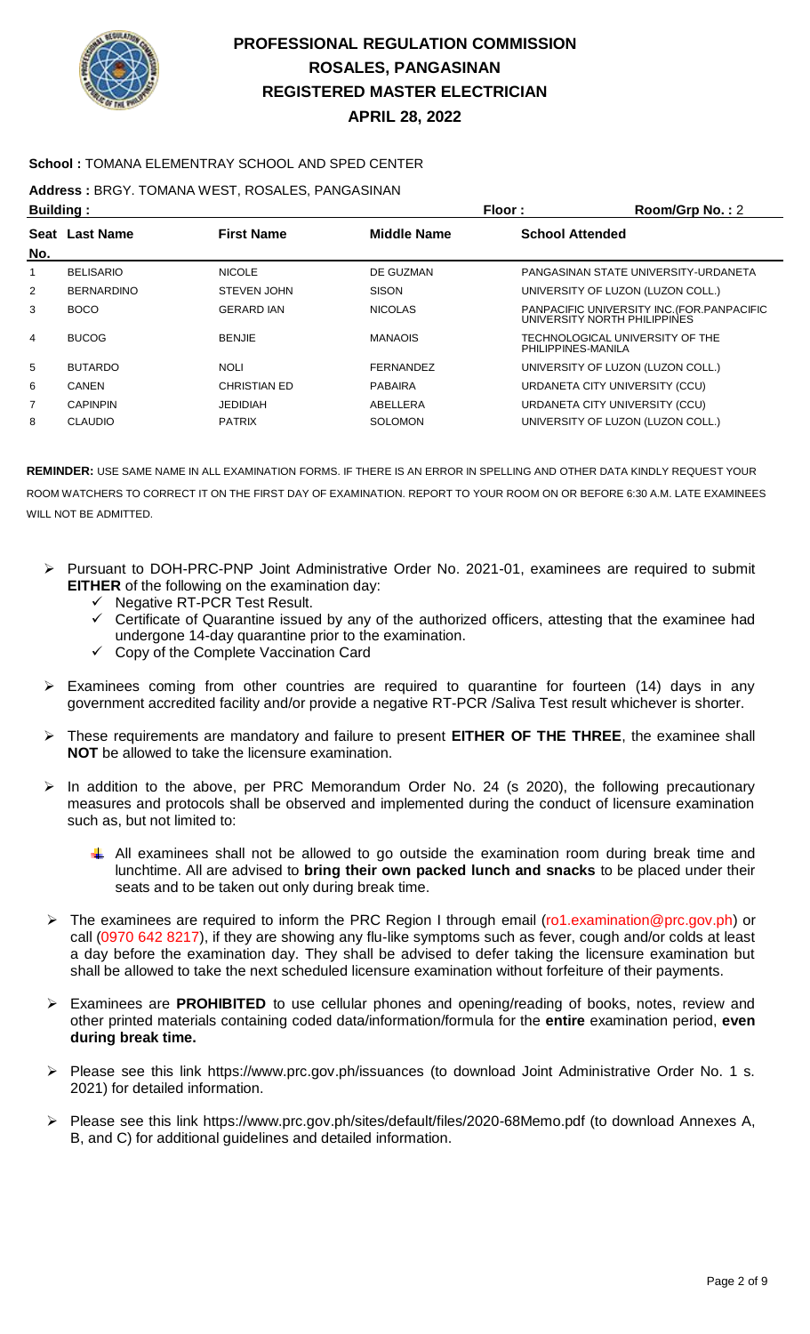

### **School :** TOMANA ELEMENTRAY SCHOOL AND SPED CENTER

**Address :** BRGY. TOMANA WEST, ROSALES, PANGASINAN

| <b>Building:</b> |                   |                     | Floor:             | Room/Grp No.: 2                                                             |
|------------------|-------------------|---------------------|--------------------|-----------------------------------------------------------------------------|
|                  | Seat Last Name    | <b>First Name</b>   | <b>Middle Name</b> | <b>School Attended</b>                                                      |
| No.              |                   |                     |                    |                                                                             |
| 1                | <b>BELISARIO</b>  | <b>NICOLE</b>       | DE GUZMAN          | PANGASINAN STATE UNIVERSITY-URDANETA                                        |
| 2                | <b>BERNARDINO</b> | <b>STEVEN JOHN</b>  | <b>SISON</b>       | UNIVERSITY OF LUZON (LUZON COLL.)                                           |
| 3                | <b>BOCO</b>       | <b>GERARD IAN</b>   | <b>NICOLAS</b>     | PANPACIFIC UNIVERSITY INC. (FOR. PANPACIFIC<br>UNIVERSITY NORTH PHILIPPINES |
| 4                | <b>BUCOG</b>      | <b>BENJIE</b>       | <b>MANAOIS</b>     | TECHNOLOGICAL UNIVERSITY OF THE<br>PHILIPPINES-MANILA                       |
| 5                | <b>BUTARDO</b>    | <b>NOLI</b>         | <b>FERNANDEZ</b>   | UNIVERSITY OF LUZON (LUZON COLL.)                                           |
| 6                | <b>CANEN</b>      | <b>CHRISTIAN ED</b> | <b>PABAIRA</b>     | URDANETA CITY UNIVERSITY (CCU)                                              |
| 7                | <b>CAPINPIN</b>   | <b>JEDIDIAH</b>     | ABELLERA           | URDANETA CITY UNIVERSITY (CCU)                                              |
| 8                | <b>CLAUDIO</b>    | <b>PATRIX</b>       | <b>SOLOMON</b>     | UNIVERSITY OF LUZON (LUZON COLL.)                                           |
|                  |                   |                     |                    |                                                                             |

- Pursuant to DOH-PRC-PNP Joint Administrative Order No. 2021-01, examinees are required to submit **EITHER** of the following on the examination day:
	- Negative RT-PCR Test Result.
	- Certificate of Quarantine issued by any of the authorized officers, attesting that the examinee had undergone 14-day quarantine prior to the examination.
	- Copy of the Complete Vaccination Card
- Examinees coming from other countries are required to quarantine for fourteen (14) days in any government accredited facility and/or provide a negative RT-PCR /Saliva Test result whichever is shorter.
- These requirements are mandatory and failure to present **EITHER OF THE THREE**, the examinee shall **NOT** be allowed to take the licensure examination.
- $\triangleright$  In addition to the above, per PRC Memorandum Order No. 24 (s 2020), the following precautionary measures and protocols shall be observed and implemented during the conduct of licensure examination such as, but not limited to:
	- All examinees shall not be allowed to go outside the examination room during break time and lunchtime. All are advised to **bring their own packed lunch and snacks** to be placed under their seats and to be taken out only during break time.
- ▶ The examinees are required to inform the PRC Region I through email (ro1.examination@prc.gov.ph) or call (0970 642 8217), if they are showing any flu-like symptoms such as fever, cough and/or colds at least a day before the examination day. They shall be advised to defer taking the licensure examination but shall be allowed to take the next scheduled licensure examination without forfeiture of their payments.
- Examinees are **PROHIBITED** to use cellular phones and opening/reading of books, notes, review and other printed materials containing coded data/information/formula for the **entire** examination period, **even during break time.**
- Please see this link https://www.prc.gov.ph/issuances (to download Joint Administrative Order No. 1 s. 2021) for detailed information.
- Please see this link https://www.prc.gov.ph/sites/default/files/2020-68Memo.pdf (to download Annexes A, B, and C) for additional guidelines and detailed information.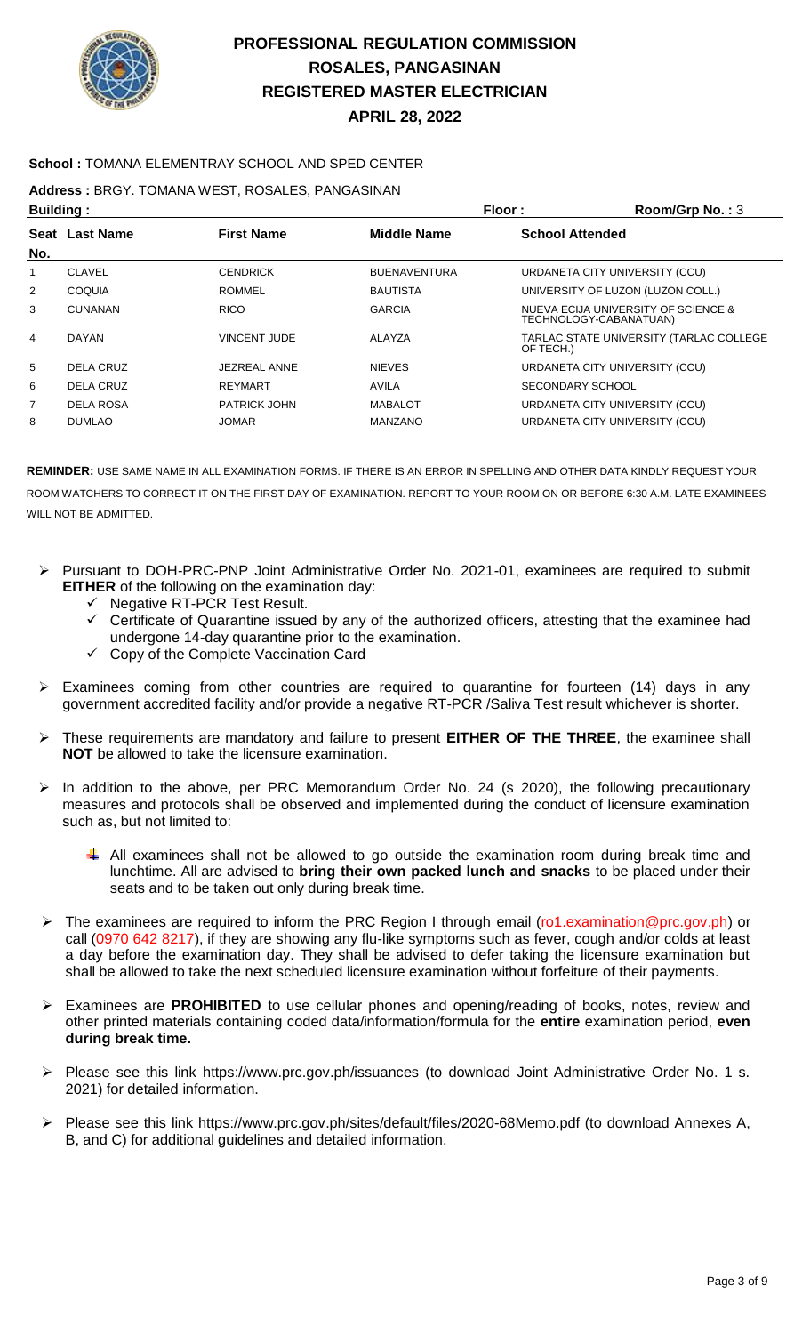

#### **School :** TOMANA ELEMENTRAY SCHOOL AND SPED CENTER

**Address :** BRGY. TOMANA WEST, ROSALES, PANGASINAN

| <b>Building:</b> |                  |                     | Floor:              | Room/Grp No.: 3                                               |
|------------------|------------------|---------------------|---------------------|---------------------------------------------------------------|
|                  | Seat Last Name   | <b>First Name</b>   | Middle Name         | <b>School Attended</b>                                        |
| No.              |                  |                     |                     |                                                               |
| 1                | <b>CLAVEL</b>    | <b>CENDRICK</b>     | <b>BUENAVENTURA</b> | URDANETA CITY UNIVERSITY (CCU)                                |
| 2                | <b>COQUIA</b>    | <b>ROMMEL</b>       | <b>BAUTISTA</b>     | UNIVERSITY OF LUZON (LUZON COLL.)                             |
| 3                | <b>CUNANAN</b>   | <b>RICO</b>         | <b>GARCIA</b>       | NUEVA ECIJA UNIVERSITY OF SCIENCE &<br>TECHNOLOGY-CABANATUAN) |
| 4                | <b>DAYAN</b>     | VINCENT JUDE        | ALAYZA              | TARLAC STATE UNIVERSITY (TARLAC COLLEGE<br>OF TECH.)          |
| 5                | DELA CRUZ        | <b>JEZREAL ANNE</b> | <b>NIEVES</b>       | URDANETA CITY UNIVERSITY (CCU)                                |
| 6                | <b>DELA CRUZ</b> | <b>REYMART</b>      | <b>AVILA</b>        | SECONDARY SCHOOL                                              |
| 7                | <b>DELA ROSA</b> | <b>PATRICK JOHN</b> | <b>MABALOT</b>      | URDANETA CITY UNIVERSITY (CCU)                                |
| 8                | <b>DUMLAO</b>    | <b>JOMAR</b>        | <b>MANZANO</b>      | URDANETA CITY UNIVERSITY (CCU)                                |
|                  |                  |                     |                     |                                                               |

- Pursuant to DOH-PRC-PNP Joint Administrative Order No. 2021-01, examinees are required to submit **EITHER** of the following on the examination day:
	- $\checkmark$  Negative RT-PCR Test Result.
	- $\checkmark$  Certificate of Quarantine issued by any of the authorized officers, attesting that the examinee had undergone 14-day quarantine prior to the examination.
	- Copy of the Complete Vaccination Card
- $\triangleright$  Examinees coming from other countries are required to quarantine for fourteen (14) days in any government accredited facility and/or provide a negative RT-PCR /Saliva Test result whichever is shorter.
- These requirements are mandatory and failure to present **EITHER OF THE THREE**, the examinee shall **NOT** be allowed to take the licensure examination.
- $\triangleright$  In addition to the above, per PRC Memorandum Order No. 24 (s 2020), the following precautionary measures and protocols shall be observed and implemented during the conduct of licensure examination such as, but not limited to:
	- All examinees shall not be allowed to go outside the examination room during break time and lunchtime. All are advised to **bring their own packed lunch and snacks** to be placed under their seats and to be taken out only during break time.
- ▶ The examinees are required to inform the PRC Region I through email (ro1.examination@prc.gov.ph) or call (0970 642 8217), if they are showing any flu-like symptoms such as fever, cough and/or colds at least a day before the examination day. They shall be advised to defer taking the licensure examination but shall be allowed to take the next scheduled licensure examination without forfeiture of their payments.
- Examinees are **PROHIBITED** to use cellular phones and opening/reading of books, notes, review and other printed materials containing coded data/information/formula for the **entire** examination period, **even during break time.**
- Please see this link https://www.prc.gov.ph/issuances (to download Joint Administrative Order No. 1 s. 2021) for detailed information.
- Please see this link https://www.prc.gov.ph/sites/default/files/2020-68Memo.pdf (to download Annexes A, B, and C) for additional guidelines and detailed information.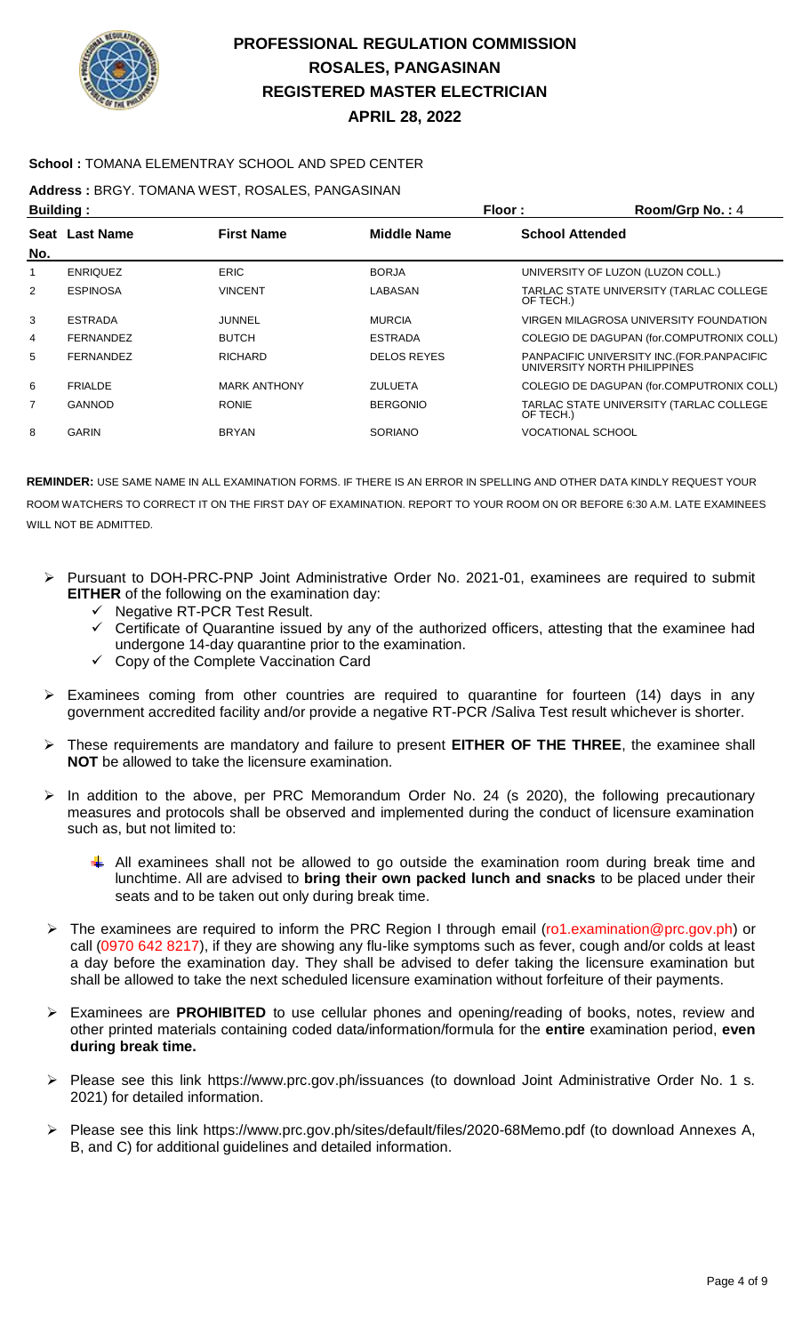

#### **School :** TOMANA ELEMENTRAY SCHOOL AND SPED CENTER

**Address :** BRGY. TOMANA WEST, ROSALES, PANGASINAN

| <b>Building:</b> |                  |                     | Floor:             | Room/Grp No.: 4                                                             |
|------------------|------------------|---------------------|--------------------|-----------------------------------------------------------------------------|
|                  | Seat Last Name   | <b>First Name</b>   | <b>Middle Name</b> | <b>School Attended</b>                                                      |
| No.              |                  |                     |                    |                                                                             |
|                  | <b>ENRIQUEZ</b>  | <b>ERIC</b>         | <b>BORJA</b>       | UNIVERSITY OF LUZON (LUZON COLL.)                                           |
| 2                | <b>ESPINOSA</b>  | <b>VINCENT</b>      | LABASAN            | TARLAC STATE UNIVERSITY (TARLAC COLLEGE<br>OF TECH.)                        |
| 3                | <b>ESTRADA</b>   | JUNNEL              | <b>MURCIA</b>      | VIRGEN MILAGROSA UNIVERSITY FOUNDATION                                      |
| 4                | <b>FERNANDEZ</b> | <b>BUTCH</b>        | <b>ESTRADA</b>     | COLEGIO DE DAGUPAN (for.COMPUTRONIX COLL)                                   |
| 5                | <b>FERNANDEZ</b> | <b>RICHARD</b>      | <b>DELOS REYES</b> | PANPACIFIC UNIVERSITY INC. (FOR. PANPACIFIC<br>UNIVERSITY NORTH PHILIPPINES |
| 6                | <b>FRIALDE</b>   | <b>MARK ANTHONY</b> | <b>ZULUETA</b>     | COLEGIO DE DAGUPAN (for.COMPUTRONIX COLL)                                   |
| $\overline{7}$   | GANNOD           | <b>RONIE</b>        | <b>BERGONIO</b>    | TARLAC STATE UNIVERSITY (TARLAC COLLEGE<br>OF TECH.)                        |
| 8                | <b>GARIN</b>     | <b>BRYAN</b>        | <b>SORIANO</b>     | <b>VOCATIONAL SCHOOL</b>                                                    |
|                  |                  |                     |                    |                                                                             |

- Pursuant to DOH-PRC-PNP Joint Administrative Order No. 2021-01, examinees are required to submit **EITHER** of the following on the examination day:
	- $\checkmark$  Negative RT-PCR Test Result.
	- $\checkmark$  Certificate of Quarantine issued by any of the authorized officers, attesting that the examinee had undergone 14-day quarantine prior to the examination.
	- $\checkmark$  Copy of the Complete Vaccination Card
- $\triangleright$  Examinees coming from other countries are required to quarantine for fourteen (14) days in any government accredited facility and/or provide a negative RT-PCR /Saliva Test result whichever is shorter.
- These requirements are mandatory and failure to present **EITHER OF THE THREE**, the examinee shall **NOT** be allowed to take the licensure examination.
- In addition to the above, per PRC Memorandum Order No. 24 (s 2020), the following precautionary measures and protocols shall be observed and implemented during the conduct of licensure examination such as, but not limited to:
	- All examinees shall not be allowed to go outside the examination room during break time and lunchtime. All are advised to **bring their own packed lunch and snacks** to be placed under their seats and to be taken out only during break time.
- ▶ The examinees are required to inform the PRC Region I through email (ro1.examination@prc.gov.ph) or call (0970 642 8217), if they are showing any flu-like symptoms such as fever, cough and/or colds at least a day before the examination day. They shall be advised to defer taking the licensure examination but shall be allowed to take the next scheduled licensure examination without forfeiture of their payments.
- Examinees are **PROHIBITED** to use cellular phones and opening/reading of books, notes, review and other printed materials containing coded data/information/formula for the **entire** examination period, **even during break time.**
- Please see this link https://www.prc.gov.ph/issuances (to download Joint Administrative Order No. 1 s. 2021) for detailed information.
- Please see this link https://www.prc.gov.ph/sites/default/files/2020-68Memo.pdf (to download Annexes A, B, and C) for additional guidelines and detailed information.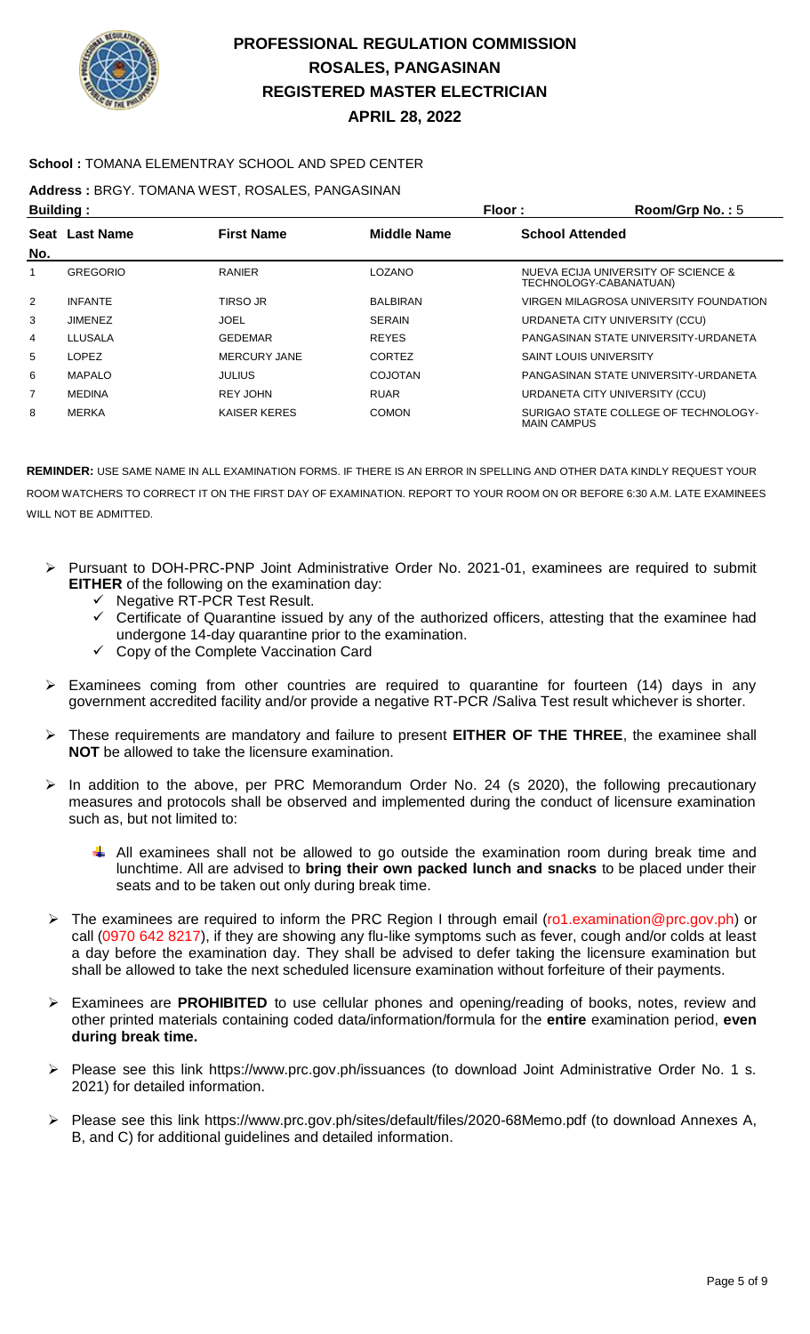

### **School :** TOMANA ELEMENTRAY SCHOOL AND SPED CENTER

**Address :** BRGY. TOMANA WEST, ROSALES, PANGASINAN

| <b>Building:</b> |                 |                     | Floor:          | Room/Grp No.: $5$                                             |
|------------------|-----------------|---------------------|-----------------|---------------------------------------------------------------|
| No.              | Seat Last Name  | <b>First Name</b>   | Middle Name     | <b>School Attended</b>                                        |
|                  | <b>GREGORIO</b> | <b>RANIER</b>       | <b>LOZANO</b>   | NUEVA ECIJA UNIVERSITY OF SCIENCE &<br>TECHNOLOGY-CABANATUAN) |
| 2                | <b>INFANTE</b>  | TIRSO JR            | <b>BALBIRAN</b> | VIRGEN MILAGROSA UNIVERSITY FOUNDATION                        |
| 3                | <b>JIMENEZ</b>  | <b>JOEL</b>         | <b>SERAIN</b>   | URDANETA CITY UNIVERSITY (CCU)                                |
| 4                | LLUSALA         | <b>GEDEMAR</b>      | <b>REYES</b>    | PANGASINAN STATE UNIVERSITY-URDANETA                          |
| 5                | LOPEZ           | <b>MERCURY JANE</b> | CORTEZ          | SAINT LOUIS UNIVERSITY                                        |
| 6                | <b>MAPALO</b>   | <b>JULIUS</b>       | <b>COJOTAN</b>  | PANGASINAN STATE UNIVERSITY-URDANETA                          |
| $\overline{7}$   | <b>MEDINA</b>   | REY JOHN            | <b>RUAR</b>     | URDANETA CITY UNIVERSITY (CCU)                                |
| 8                | MERKA           | <b>KAISER KERES</b> | <b>COMON</b>    | SURIGAO STATE COLLEGE OF TECHNOLOGY-<br><b>MAIN CAMPUS</b>    |

- Pursuant to DOH-PRC-PNP Joint Administrative Order No. 2021-01, examinees are required to submit **EITHER** of the following on the examination day:
	- Negative RT-PCR Test Result.
	- Certificate of Quarantine issued by any of the authorized officers, attesting that the examinee had undergone 14-day quarantine prior to the examination.
	- Copy of the Complete Vaccination Card
- $\triangleright$  Examinees coming from other countries are required to quarantine for fourteen (14) days in any government accredited facility and/or provide a negative RT-PCR /Saliva Test result whichever is shorter.
- These requirements are mandatory and failure to present **EITHER OF THE THREE**, the examinee shall **NOT** be allowed to take the licensure examination.
- $\triangleright$  In addition to the above, per PRC Memorandum Order No. 24 (s 2020), the following precautionary measures and protocols shall be observed and implemented during the conduct of licensure examination such as, but not limited to:
	- $\downarrow$  All examinees shall not be allowed to go outside the examination room during break time and lunchtime. All are advised to **bring their own packed lunch and snacks** to be placed under their seats and to be taken out only during break time.
- $\triangleright$  The examinees are required to inform the PRC Region I through email (ro1.examination@prc.gov.ph) or call (0970 642 8217), if they are showing any flu-like symptoms such as fever, cough and/or colds at least a day before the examination day. They shall be advised to defer taking the licensure examination but shall be allowed to take the next scheduled licensure examination without forfeiture of their payments.
- Examinees are **PROHIBITED** to use cellular phones and opening/reading of books, notes, review and other printed materials containing coded data/information/formula for the **entire** examination period, **even during break time.**
- Please see this link https://www.prc.gov.ph/issuances (to download Joint Administrative Order No. 1 s. 2021) for detailed information.
- Please see this link https://www.prc.gov.ph/sites/default/files/2020-68Memo.pdf (to download Annexes A, B, and C) for additional guidelines and detailed information.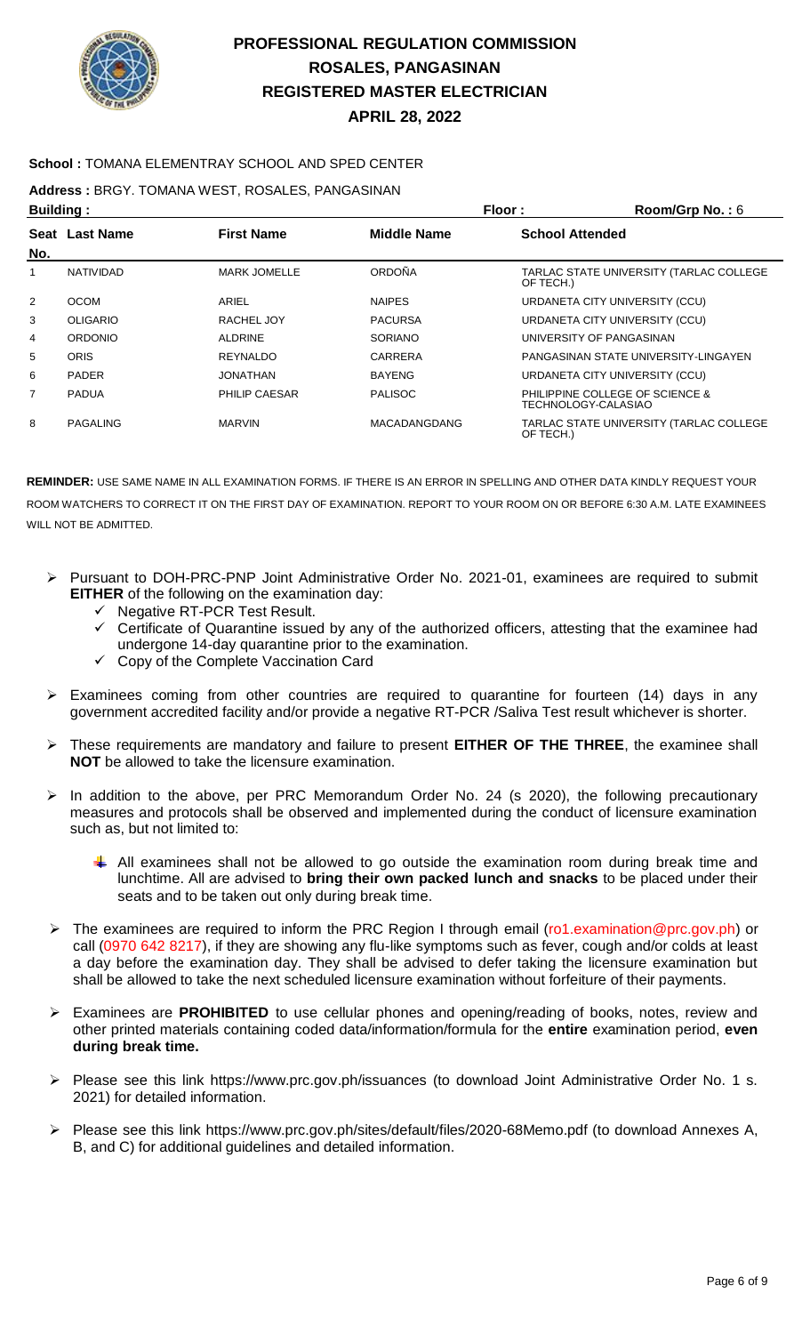

### **School :** TOMANA ELEMENTRAY SCHOOL AND SPED CENTER

**Address :** BRGY. TOMANA WEST, ROSALES, PANGASINAN

| <b>Building:</b> |                  |                      | Floor:              | Room/Grp No.: 6                                        |
|------------------|------------------|----------------------|---------------------|--------------------------------------------------------|
|                  | Seat Last Name   | <b>First Name</b>    | <b>Middle Name</b>  | <b>School Attended</b>                                 |
| No.              |                  |                      |                     |                                                        |
|                  | <b>NATIVIDAD</b> | <b>MARK JOMELLE</b>  | <b>ORDOÑA</b>       | TARLAC STATE UNIVERSITY (TARLAC COLLEGE<br>OF TECH.)   |
| 2                | <b>OCOM</b>      | <b>ARIEL</b>         | <b>NAIPES</b>       | URDANETA CITY UNIVERSITY (CCU)                         |
| 3                | <b>OLIGARIO</b>  | RACHEL JOY           | <b>PACURSA</b>      | URDANETA CITY UNIVERSITY (CCU)                         |
| 4                | <b>ORDONIO</b>   | <b>ALDRINE</b>       | <b>SORIANO</b>      | UNIVERSITY OF PANGASINAN                               |
| 5                | <b>ORIS</b>      | <b>REYNALDO</b>      | CARRERA             | PANGASINAN STATE UNIVERSITY-LINGAYEN                   |
| 6                | <b>PADER</b>     | <b>JONATHAN</b>      | <b>BAYENG</b>       | URDANETA CITY UNIVERSITY (CCU)                         |
| 7                | <b>PADUA</b>     | <b>PHILIP CAESAR</b> | <b>PALISOC</b>      | PHILIPPINE COLLEGE OF SCIENCE &<br>TECHNOLOGY-CALASIAO |
| 8                | PAGALING         | <b>MARVIN</b>        | <b>MACADANGDANG</b> | TARLAC STATE UNIVERSITY (TARLAC COLLEGE<br>OF TECH.)   |

- Pursuant to DOH-PRC-PNP Joint Administrative Order No. 2021-01, examinees are required to submit **EITHER** of the following on the examination day:
	- $\checkmark$  Negative RT-PCR Test Result.
	- $\checkmark$  Certificate of Quarantine issued by any of the authorized officers, attesting that the examinee had undergone 14-day quarantine prior to the examination.
	- $\checkmark$  Copy of the Complete Vaccination Card
- $\triangleright$  Examinees coming from other countries are required to quarantine for fourteen (14) days in any government accredited facility and/or provide a negative RT-PCR /Saliva Test result whichever is shorter.
- These requirements are mandatory and failure to present **EITHER OF THE THREE**, the examinee shall **NOT** be allowed to take the licensure examination.
- In addition to the above, per PRC Memorandum Order No. 24 (s 2020), the following precautionary measures and protocols shall be observed and implemented during the conduct of licensure examination such as, but not limited to:
	- $\downarrow$  All examinees shall not be allowed to go outside the examination room during break time and lunchtime. All are advised to **bring their own packed lunch and snacks** to be placed under their seats and to be taken out only during break time.
- The examinees are required to inform the PRC Region I through email (ro1.examination@prc.gov.ph) or call (0970 642 8217), if they are showing any flu-like symptoms such as fever, cough and/or colds at least a day before the examination day. They shall be advised to defer taking the licensure examination but shall be allowed to take the next scheduled licensure examination without forfeiture of their payments.
- Examinees are **PROHIBITED** to use cellular phones and opening/reading of books, notes, review and other printed materials containing coded data/information/formula for the **entire** examination period, **even during break time.**
- Please see this link https://www.prc.gov.ph/issuances (to download Joint Administrative Order No. 1 s. 2021) for detailed information.
- Please see this link https://www.prc.gov.ph/sites/default/files/2020-68Memo.pdf (to download Annexes A, B, and C) for additional guidelines and detailed information.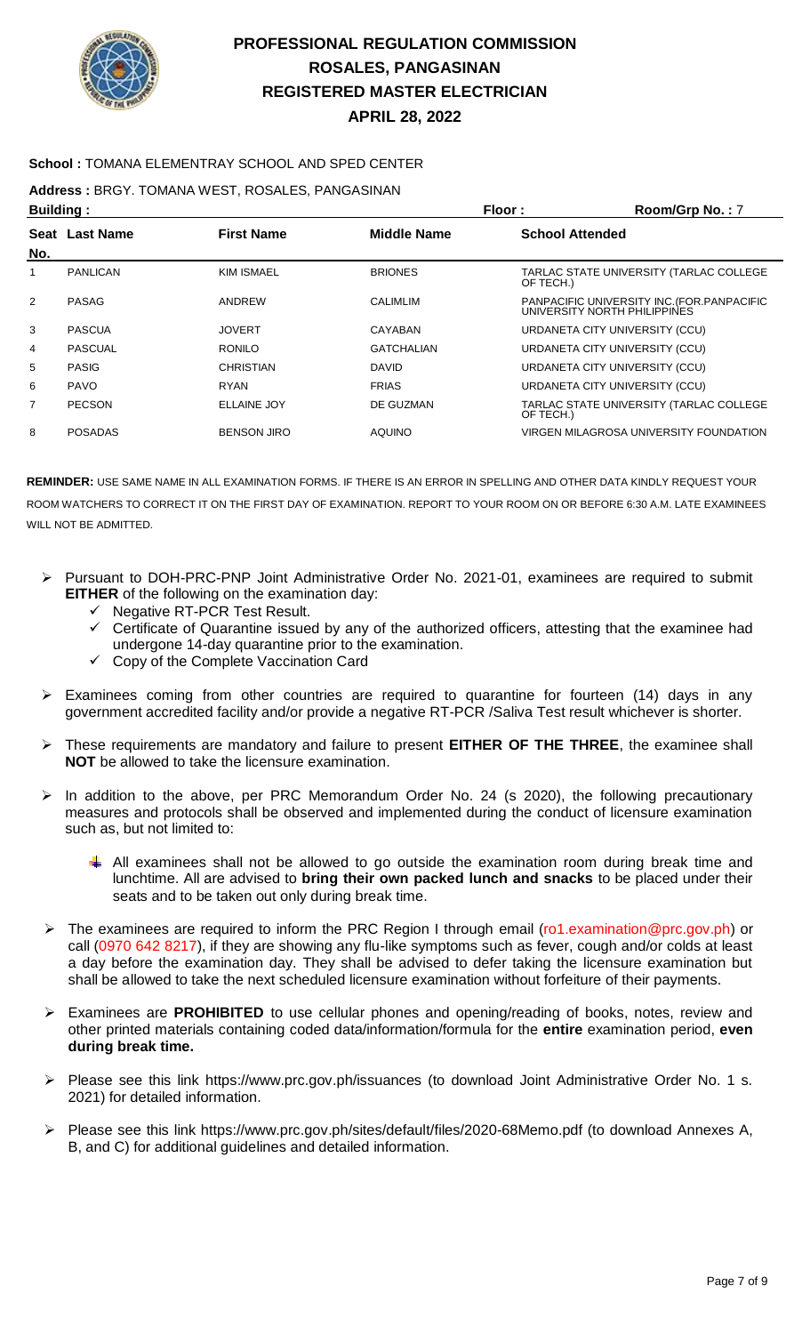

### **School :** TOMANA ELEMENTRAY SCHOOL AND SPED CENTER

**Address :** BRGY. TOMANA WEST, ROSALES, PANGASINAN

| <b>Building:</b> |                 |                    | Floor:             | Room/Grp No.: 7                                                             |
|------------------|-----------------|--------------------|--------------------|-----------------------------------------------------------------------------|
| No.              | Seat Last Name  | <b>First Name</b>  | <b>Middle Name</b> | <b>School Attended</b>                                                      |
| 1                | <b>PANLICAN</b> | <b>KIM ISMAEL</b>  | <b>BRIONES</b>     | TARLAC STATE UNIVERSITY (TARLAC COLLEGE<br>OF TECH.)                        |
| 2                | PASAG           | ANDREW             | <b>CALIMLIM</b>    | PANPACIFIC UNIVERSITY INC. (FOR. PANPACIFIC<br>UNIVERSITY NORTH PHILIPPINES |
| 3                | <b>PASCUA</b>   | <b>JOVERT</b>      | CAYABAN            | URDANETA CITY UNIVERSITY (CCU)                                              |
| 4                | <b>PASCUAL</b>  | <b>RONILO</b>      | <b>GATCHALIAN</b>  | URDANETA CITY UNIVERSITY (CCU)                                              |
| 5                | <b>PASIG</b>    | <b>CHRISTIAN</b>   | <b>DAVID</b>       | URDANETA CITY UNIVERSITY (CCU)                                              |
| 6                | <b>PAVO</b>     | <b>RYAN</b>        | <b>FRIAS</b>       | URDANETA CITY UNIVERSITY (CCU)                                              |
| 7                | <b>PECSON</b>   | <b>ELLAINE JOY</b> | DE GUZMAN          | TARLAC STATE UNIVERSITY (TARLAC COLLEGE<br>OF TECH.)                        |
| 8                | <b>POSADAS</b>  | <b>BENSON JIRO</b> | <b>AQUINO</b>      | VIRGEN MILAGROSA UNIVERSITY FOUNDATION                                      |

- Pursuant to DOH-PRC-PNP Joint Administrative Order No. 2021-01, examinees are required to submit **EITHER** of the following on the examination day:
	- $\checkmark$  Negative RT-PCR Test Result.
	- $\checkmark$  Certificate of Quarantine issued by any of the authorized officers, attesting that the examinee had undergone 14-day quarantine prior to the examination.
	- $\checkmark$  Copy of the Complete Vaccination Card
- $\triangleright$  Examinees coming from other countries are required to quarantine for fourteen (14) days in any government accredited facility and/or provide a negative RT-PCR /Saliva Test result whichever is shorter.
- These requirements are mandatory and failure to present **EITHER OF THE THREE**, the examinee shall **NOT** be allowed to take the licensure examination.
- In addition to the above, per PRC Memorandum Order No. 24 (s 2020), the following precautionary measures and protocols shall be observed and implemented during the conduct of licensure examination such as, but not limited to:
	- $\ddot{+}$  All examinees shall not be allowed to go outside the examination room during break time and lunchtime. All are advised to **bring their own packed lunch and snacks** to be placed under their seats and to be taken out only during break time.
- ▶ The examinees are required to inform the PRC Region I through email (ro1.examination@prc.gov.ph) or call (0970 642 8217), if they are showing any flu-like symptoms such as fever, cough and/or colds at least a day before the examination day. They shall be advised to defer taking the licensure examination but shall be allowed to take the next scheduled licensure examination without forfeiture of their payments.
- Examinees are **PROHIBITED** to use cellular phones and opening/reading of books, notes, review and other printed materials containing coded data/information/formula for the **entire** examination period, **even during break time.**
- Please see this link https://www.prc.gov.ph/issuances (to download Joint Administrative Order No. 1 s. 2021) for detailed information.
- Please see this link https://www.prc.gov.ph/sites/default/files/2020-68Memo.pdf (to download Annexes A, B, and C) for additional guidelines and detailed information.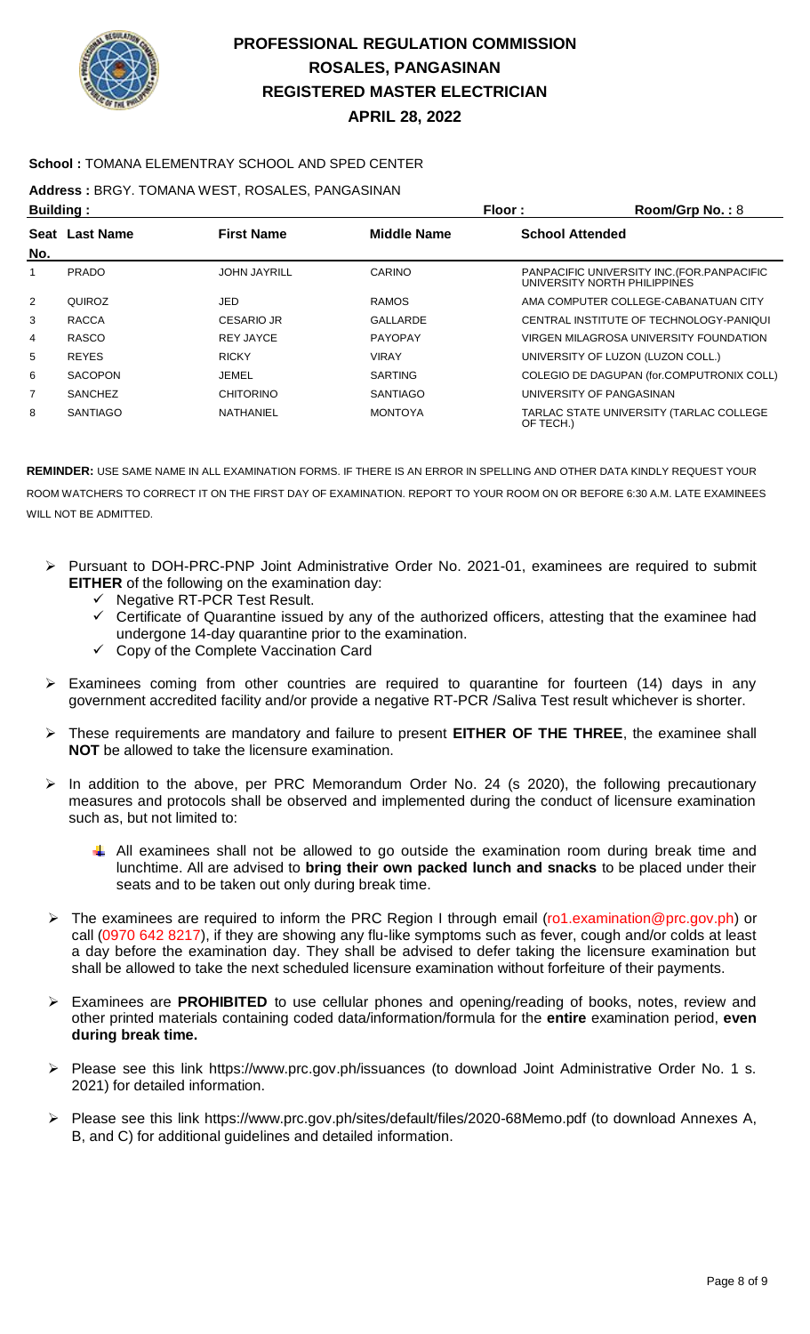

### **School :** TOMANA ELEMENTRAY SCHOOL AND SPED CENTER

### **Address :** BRGY. TOMANA WEST, ROSALES, PANGASINAN

| <b>Building:</b> |                 |                     |                    | Floor:<br>Room/Grp No.: 8                                                   |
|------------------|-----------------|---------------------|--------------------|-----------------------------------------------------------------------------|
| No.              | Seat Last Name  | <b>First Name</b>   | <b>Middle Name</b> | <b>School Attended</b>                                                      |
| 1                | <b>PRADO</b>    | <b>JOHN JAYRILL</b> | CARINO             | PANPACIFIC UNIVERSITY INC. (FOR. PANPACIFIC<br>UNIVERSITY NORTH PHILIPPINES |
| 2                | QUIROZ          | JED                 | <b>RAMOS</b>       | AMA COMPUTER COLLEGE-CABANATUAN CITY                                        |
| 3                | <b>RACCA</b>    | <b>CESARIO JR</b>   | GALLARDE           | CENTRAL INSTITUTE OF TECHNOLOGY-PANIQUI                                     |
| 4                | <b>RASCO</b>    | <b>REY JAYCE</b>    | <b>PAYOPAY</b>     | VIRGEN MILAGROSA UNIVERSITY FOUNDATION                                      |
| 5                | <b>REYES</b>    | <b>RICKY</b>        | <b>VIRAY</b>       | UNIVERSITY OF LUZON (LUZON COLL.)                                           |
| 6                | <b>SACOPON</b>  | JEMEL               | <b>SARTING</b>     | COLEGIO DE DAGUPAN (for.COMPUTRONIX COLL)                                   |
| $\overline{7}$   | <b>SANCHEZ</b>  | <b>CHITORINO</b>    | <b>SANTIAGO</b>    | UNIVERSITY OF PANGASINAN                                                    |
| 8                | <b>SANTIAGO</b> | NATHANIEL           | <b>MONTOYA</b>     | TARLAC STATE UNIVERSITY (TARLAC COLLEGE<br>OF TECH.)                        |

- Pursuant to DOH-PRC-PNP Joint Administrative Order No. 2021-01, examinees are required to submit **EITHER** of the following on the examination day:
	- ← Negative RT-PCR Test Result.<br>← Certificate of Quarantine issue
	- Certificate of Quarantine issued by any of the authorized officers, attesting that the examinee had undergone 14-day quarantine prior to the examination.
	- Copy of the Complete Vaccination Card
- $\triangleright$  Examinees coming from other countries are required to quarantine for fourteen (14) days in any government accredited facility and/or provide a negative RT-PCR /Saliva Test result whichever is shorter.
- These requirements are mandatory and failure to present **EITHER OF THE THREE**, the examinee shall **NOT** be allowed to take the licensure examination.
- $\triangleright$  In addition to the above, per PRC Memorandum Order No. 24 (s 2020), the following precautionary measures and protocols shall be observed and implemented during the conduct of licensure examination such as, but not limited to:
	- All examinees shall not be allowed to go outside the examination room during break time and lunchtime. All are advised to **bring their own packed lunch and snacks** to be placed under their seats and to be taken out only during break time.
- ▶ The examinees are required to inform the PRC Region I through email (ro1.examination@prc.gov.ph) or call (0970 642 8217), if they are showing any flu-like symptoms such as fever, cough and/or colds at least a day before the examination day. They shall be advised to defer taking the licensure examination but shall be allowed to take the next scheduled licensure examination without forfeiture of their payments.
- Examinees are **PROHIBITED** to use cellular phones and opening/reading of books, notes, review and other printed materials containing coded data/information/formula for the **entire** examination period, **even during break time.**
- Please see this link https://www.prc.gov.ph/issuances (to download Joint Administrative Order No. 1 s. 2021) for detailed information.
- Please see this link https://www.prc.gov.ph/sites/default/files/2020-68Memo.pdf (to download Annexes A, B, and C) for additional guidelines and detailed information.